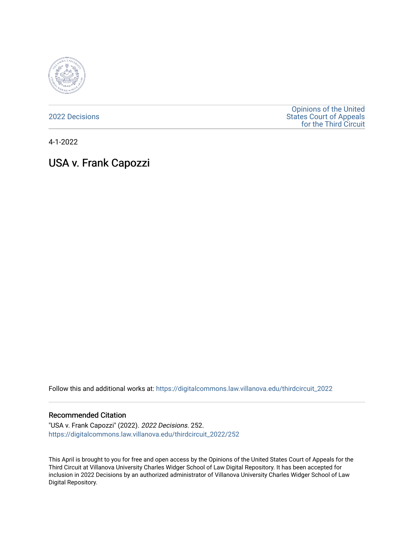

[2022 Decisions](https://digitalcommons.law.villanova.edu/thirdcircuit_2022)

[Opinions of the United](https://digitalcommons.law.villanova.edu/thirdcircuit)  [States Court of Appeals](https://digitalcommons.law.villanova.edu/thirdcircuit)  [for the Third Circuit](https://digitalcommons.law.villanova.edu/thirdcircuit) 

4-1-2022

USA v. Frank Capozzi

Follow this and additional works at: [https://digitalcommons.law.villanova.edu/thirdcircuit\\_2022](https://digitalcommons.law.villanova.edu/thirdcircuit_2022?utm_source=digitalcommons.law.villanova.edu%2Fthirdcircuit_2022%2F252&utm_medium=PDF&utm_campaign=PDFCoverPages) 

### Recommended Citation

"USA v. Frank Capozzi" (2022). 2022 Decisions. 252. [https://digitalcommons.law.villanova.edu/thirdcircuit\\_2022/252](https://digitalcommons.law.villanova.edu/thirdcircuit_2022/252?utm_source=digitalcommons.law.villanova.edu%2Fthirdcircuit_2022%2F252&utm_medium=PDF&utm_campaign=PDFCoverPages)

This April is brought to you for free and open access by the Opinions of the United States Court of Appeals for the Third Circuit at Villanova University Charles Widger School of Law Digital Repository. It has been accepted for inclusion in 2022 Decisions by an authorized administrator of Villanova University Charles Widger School of Law Digital Repository.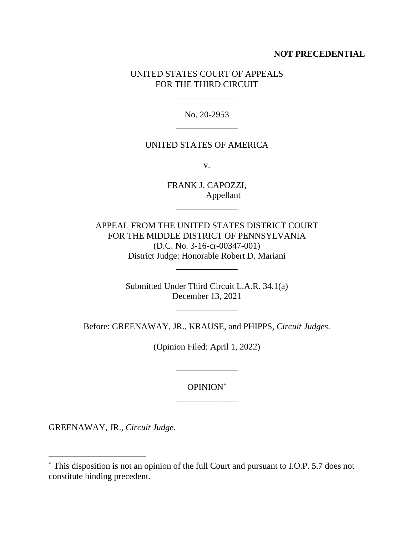# **NOT PRECEDENTIAL**

# UNITED STATES COURT OF APPEALS FOR THE THIRD CIRCUIT

\_\_\_\_\_\_\_\_\_\_\_\_\_\_

No. 20-2953 \_\_\_\_\_\_\_\_\_\_\_\_\_\_

### UNITED STATES OF AMERICA

v.

FRANK J. CAPOZZI, Appellant

\_\_\_\_\_\_\_\_\_\_\_\_\_\_

APPEAL FROM THE UNITED STATES DISTRICT COURT FOR THE MIDDLE DISTRICT OF PENNSYLVANIA (D.C. No. 3-16-cr-00347-001) District Judge: Honorable Robert D. Mariani

\_\_\_\_\_\_\_\_\_\_\_\_\_\_

Submitted Under Third Circuit L.A.R. 34.1(a) December 13, 2021

\_\_\_\_\_\_\_\_\_\_\_\_\_\_

Before: GREENAWAY, JR., KRAUSE, and PHIPPS, *Circuit Judges*.

(Opinion Filed: April 1, 2022)

\_\_\_\_\_\_\_\_\_\_\_\_\_\_

OPINION\* \_\_\_\_\_\_\_\_\_\_\_\_\_\_

GREENAWAY, JR., *Circuit Judge*.

<sup>\*</sup> This disposition is not an opinion of the full Court and pursuant to I.O.P. 5.7 does not constitute binding precedent.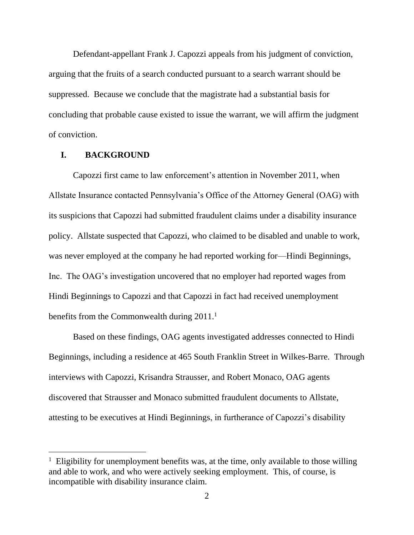Defendant-appellant Frank J. Capozzi appeals from his judgment of conviction, arguing that the fruits of a search conducted pursuant to a search warrant should be suppressed. Because we conclude that the magistrate had a substantial basis for concluding that probable cause existed to issue the warrant, we will affirm the judgment of conviction.

## **I. BACKGROUND**

Capozzi first came to law enforcement's attention in November 2011, when Allstate Insurance contacted Pennsylvania's Office of the Attorney General (OAG) with its suspicions that Capozzi had submitted fraudulent claims under a disability insurance policy. Allstate suspected that Capozzi, who claimed to be disabled and unable to work, was never employed at the company he had reported working for—Hindi Beginnings, Inc. The OAG's investigation uncovered that no employer had reported wages from Hindi Beginnings to Capozzi and that Capozzi in fact had received unemployment benefits from the Commonwealth during 2011.<sup>1</sup>

Based on these findings, OAG agents investigated addresses connected to Hindi Beginnings, including a residence at 465 South Franklin Street in Wilkes-Barre. Through interviews with Capozzi, Krisandra Strausser, and Robert Monaco, OAG agents discovered that Strausser and Monaco submitted fraudulent documents to Allstate, attesting to be executives at Hindi Beginnings, in furtherance of Capozzi's disability

<sup>&</sup>lt;sup>1</sup> Eligibility for unemployment benefits was, at the time, only available to those willing and able to work, and who were actively seeking employment. This, of course, is incompatible with disability insurance claim.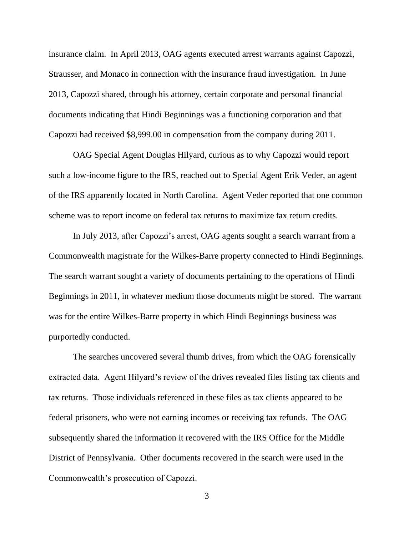insurance claim. In April 2013, OAG agents executed arrest warrants against Capozzi, Strausser, and Monaco in connection with the insurance fraud investigation. In June 2013, Capozzi shared, through his attorney, certain corporate and personal financial documents indicating that Hindi Beginnings was a functioning corporation and that Capozzi had received \$8,999.00 in compensation from the company during 2011.

OAG Special Agent Douglas Hilyard, curious as to why Capozzi would report such a low-income figure to the IRS, reached out to Special Agent Erik Veder, an agent of the IRS apparently located in North Carolina. Agent Veder reported that one common scheme was to report income on federal tax returns to maximize tax return credits.

In July 2013, after Capozzi's arrest, OAG agents sought a search warrant from a Commonwealth magistrate for the Wilkes-Barre property connected to Hindi Beginnings. The search warrant sought a variety of documents pertaining to the operations of Hindi Beginnings in 2011, in whatever medium those documents might be stored. The warrant was for the entire Wilkes-Barre property in which Hindi Beginnings business was purportedly conducted.

The searches uncovered several thumb drives, from which the OAG forensically extracted data. Agent Hilyard's review of the drives revealed files listing tax clients and tax returns. Those individuals referenced in these files as tax clients appeared to be federal prisoners, who were not earning incomes or receiving tax refunds. The OAG subsequently shared the information it recovered with the IRS Office for the Middle District of Pennsylvania. Other documents recovered in the search were used in the Commonwealth's prosecution of Capozzi.

3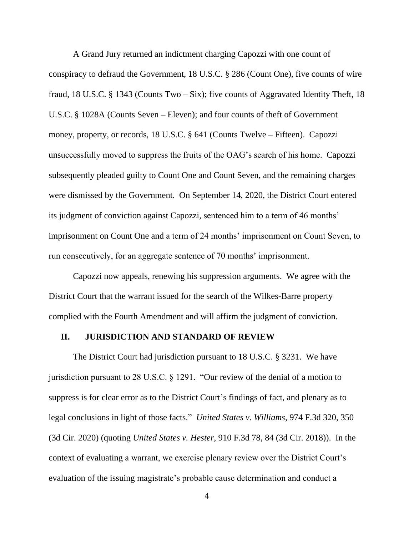A Grand Jury returned an indictment charging Capozzi with one count of conspiracy to defraud the Government, 18 U.S.C. § 286 (Count One), five counts of wire fraud, 18 U.S.C. § 1343 (Counts Two – Six); five counts of Aggravated Identity Theft, 18 U.S.C. § 1028A (Counts Seven – Eleven); and four counts of theft of Government money, property, or records, 18 U.S.C. § 641 (Counts Twelve – Fifteen). Capozzi unsuccessfully moved to suppress the fruits of the OAG's search of his home. Capozzi subsequently pleaded guilty to Count One and Count Seven, and the remaining charges were dismissed by the Government. On September 14, 2020, the District Court entered its judgment of conviction against Capozzi, sentenced him to a term of 46 months' imprisonment on Count One and a term of 24 months' imprisonment on Count Seven, to run consecutively, for an aggregate sentence of 70 months' imprisonment.

Capozzi now appeals, renewing his suppression arguments. We agree with the District Court that the warrant issued for the search of the Wilkes-Barre property complied with the Fourth Amendment and will affirm the judgment of conviction.

#### **II. JURISDICTION AND STANDARD OF REVIEW**

The District Court had jurisdiction pursuant to 18 U.S.C. § 3231. We have jurisdiction pursuant to 28 U.S.C. § 1291. "Our review of the denial of a motion to suppress is for clear error as to the District Court's findings of fact, and plenary as to legal conclusions in light of those facts." *United States v. Williams*, 974 F.3d 320, 350 (3d Cir. 2020) (quoting *United States v. Hester*, 910 F.3d 78, 84 (3d Cir. 2018)). In the context of evaluating a warrant, we exercise plenary review over the District Court's evaluation of the issuing magistrate's probable cause determination and conduct a

4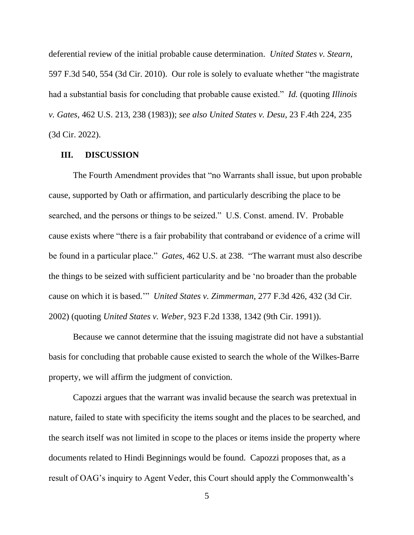deferential review of the initial probable cause determination. *United States v. Stearn*, 597 F.3d 540, 554 (3d Cir. 2010). Our role is solely to evaluate whether "the magistrate had a substantial basis for concluding that probable cause existed." *Id.* (quoting *Illinois v. Gates*, 462 U.S. 213, 238 (1983)); *see also United States v. Desu*, 23 F.4th 224, 235 (3d Cir. 2022).

#### **III. DISCUSSION**

The Fourth Amendment provides that "no Warrants shall issue, but upon probable cause, supported by Oath or affirmation, and particularly describing the place to be searched, and the persons or things to be seized." U.S. Const. amend. IV. Probable cause exists where "there is a fair probability that contraband or evidence of a crime will be found in a particular place." *Gates*, 462 U.S. at 238. "The warrant must also describe the things to be seized with sufficient particularity and be 'no broader than the probable cause on which it is based.'" *United States v. Zimmerman*, 277 F.3d 426, 432 (3d Cir. 2002) (quoting *United States v. Weber*, 923 F.2d 1338, 1342 (9th Cir. 1991)).

Because we cannot determine that the issuing magistrate did not have a substantial basis for concluding that probable cause existed to search the whole of the Wilkes-Barre property, we will affirm the judgment of conviction.

Capozzi argues that the warrant was invalid because the search was pretextual in nature, failed to state with specificity the items sought and the places to be searched, and the search itself was not limited in scope to the places or items inside the property where documents related to Hindi Beginnings would be found. Capozzi proposes that, as a result of OAG's inquiry to Agent Veder, this Court should apply the Commonwealth's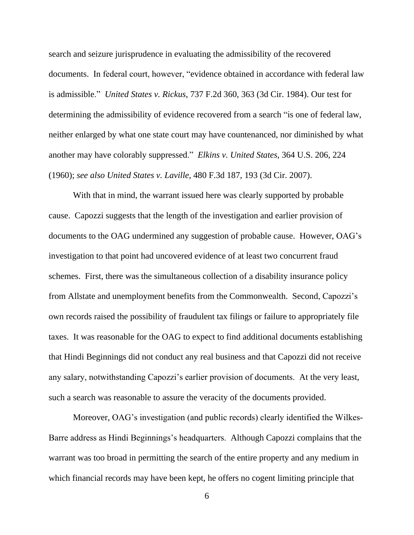search and seizure jurisprudence in evaluating the admissibility of the recovered documents. In federal court, however, "evidence obtained in accordance with federal law is admissible." *United States v. Rickus*, 737 F.2d 360, 363 (3d Cir. 1984). Our test for determining the admissibility of evidence recovered from a search "is one of federal law, neither enlarged by what one state court may have countenanced, nor diminished by what another may have colorably suppressed." *Elkins v. United States*, 364 U.S. 206, 224 (1960); *see also United States v. Laville*, 480 F.3d 187, 193 (3d Cir. 2007).

With that in mind, the warrant issued here was clearly supported by probable cause. Capozzi suggests that the length of the investigation and earlier provision of documents to the OAG undermined any suggestion of probable cause. However, OAG's investigation to that point had uncovered evidence of at least two concurrent fraud schemes. First, there was the simultaneous collection of a disability insurance policy from Allstate and unemployment benefits from the Commonwealth. Second, Capozzi's own records raised the possibility of fraudulent tax filings or failure to appropriately file taxes. It was reasonable for the OAG to expect to find additional documents establishing that Hindi Beginnings did not conduct any real business and that Capozzi did not receive any salary, notwithstanding Capozzi's earlier provision of documents. At the very least, such a search was reasonable to assure the veracity of the documents provided.

Moreover, OAG's investigation (and public records) clearly identified the Wilkes-Barre address as Hindi Beginnings's headquarters. Although Capozzi complains that the warrant was too broad in permitting the search of the entire property and any medium in which financial records may have been kept, he offers no cogent limiting principle that